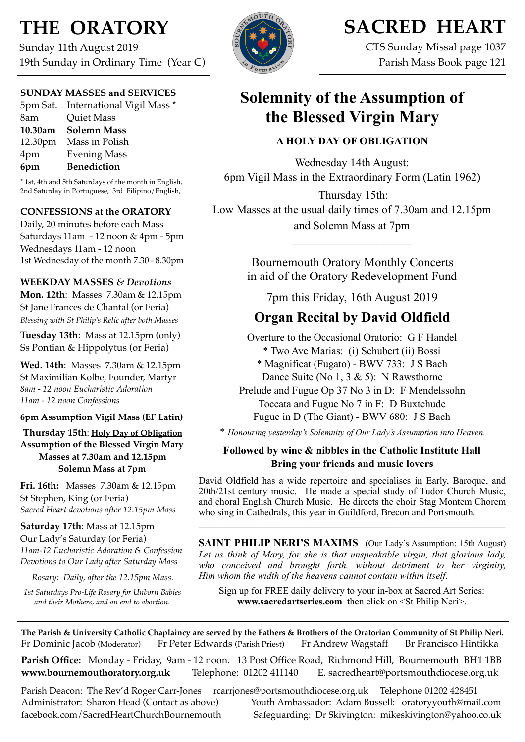# **THE ORATORY**

Sunday 11th August 2019 19th Sunday in Ordinary Time (Year C)

### **SUNDAY MASSES and SERVICES**

5pm Sat. International Vigil Mass \* 8am Quiet Mass **10.30am Solemn Mass** 12.30pm Mass in Polish 4pm Evening Mass **6pm Benediction**

\* 1st, 4th and 5th Saturdays of the month in English, 2nd Saturday in Portuguese, 3rd Filipino/English,

### **CONFESSIONS at the ORATORY**

Daily, 20 minutes before each Mass Saturdays 11am - 12 noon & 4pm - 5pm Wednesdays 11am - 12 noon 1st Wednesday of the month 7.30 - 8.30pm

### **WEEKDAY MASSES** *& Devotions*

**Mon. 12th**: Masses 7.30am & 12.15pm St Jane Frances de Chantal (or Feria) *Blessing with St Philip's Relic after both Masses*

**Tuesday 13th**: Mass at 12.15pm (only) Ss Pontian & Hippolytus (or Feria)

**Wed. 14th**: Masses7.30am & 12.15pm St Maximilian Kolbe, Founder, Martyr *8am - 12 noon Eucharistic Adoration 11am - 12 noon Confessions*

### **6pm Assumption Vigil Mass (EF Latin)**

**Thursday 15th**: **Holy Day of Obligation Assumption of the Blessed Virgin Mary Masses at 7.30am and 12.15pm Solemn Mass at 7pm**

**Fri. 16th:** Masses 7.30am & 12.15pm St Stephen, King (or Feria) *Sacred Heart devotions after 12.15pm Mass*

**Saturday 17th**: Mass at 12.15pm Our Lady's Saturday (or Feria) *11am-12 Eucharistic Adoration & Confession Devotions to Our Lady after Saturday Mass*

*Rosary: Daily, after the 12.15pm Mass.*

*1st Saturdays Pro-Life Rosary for Unborn Babies and their Mothers, and an end to abortion.*



# **SACRED HEART**

CTS Sunday Missal page 1037 Parish Mass Book page 121

# **Solemnity of the Assumption of the Blessed Virgin Mary**

## **A HOLY DAY OF OBLIGATION**

Wednesday 14th August: 6pm Vigil Mass in the Extraordinary Form (Latin 1962)

Thursday 15th: Low Masses at the usual daily times of 7.30am and 12.15pm and Solemn Mass at 7pm

> Bournemouth Oratory Monthly Concerts in aid of the Oratory Redevelopment Fund

**\_\_\_\_\_\_\_\_\_\_\_\_\_\_\_\_\_\_\_\_\_\_\_\_\_\_\_\_\_\_\_\_\_\_** 

7pm this Friday, 16th August 2019

# **Organ Recital by David Oldfield**

Overture to the Occasional Oratorio: G F Handel \* Two Ave Marias: (i) Schubert (ii) Bossi

\* Magnificat (Fugato) - BWV 733: J S Bach Dance Suite (No 1, 3 & 5): N Rawsthorne

Prelude and Fugue Op 37 No 3 in D: F Mendelssohn Toccata and Fugue No 7 in F: D Buxtehude Fugue in D (The Giant) - BWV 680: J S Bach

\* *Honouring yesterday's Solemnity of Our Lady's Assumption into Heaven.*

### **Followed by wine & nibbles in the Catholic Institute Hall Bring your friends and music lovers**

David Oldfield has a wide repertoire and specialises in Early, Baroque, and 20th/21st century music. He made a special study of Tudor Church Music, and choral English Church Music. He directs the choir Stag Montem Chorem who sing in Cathedrals, this year in Guildford, Brecon and Portsmouth.

**SAINT PHILIP NERI'S MAXIMS** (Our Lady's Assumption: 15th August) Let us think of Mary, for she is that unspeakable virgin, that glorious lady, *who conceived and brought forth, without detriment to her virginity, Him whom the width of the heavens cannot contain within itself*.

Sign up for FREE daily delivery to your in-box at Sacred Art Series: **www.sacredart[series.com](http://series.com)** then click on <St Philip Neri>.

**The Parish & University Catholic Chaplaincy are served by the Fathers & Brothers of the Oratorian Community of St Philip Neri.** Fr Dominic Jacob (Moderator) Fr Peter Edwards (Parish Priest) Fr Andrew Wagstaff Br Francisco Hintikka

**Parish Office:** Monday - Friday, 9am - 12 noon. 13 Post Office Road, Richmond Hill, Bournemouth BH1 1BB **[www.bournemouthoratory.org.uk](http://www.bournemoithoratory.org.uk)** Telephone: 01202 411140 E. [sacredheart@portsmouthdiocese.org.uk](mailto:sacredheart@portsmouthdiocese.org.uk)

Parish Deacon: The Rev'd Roger Carr-Jones [rcarrjones@portsmouthdiocese.org.uk](mailto:rcarrjones@portsmouthdiocese.org.uk) Telephone 01202 428451 Administrator: Sharon Head (Contact as above) Youth Ambassador: Adam Bussell: [oratoryyouth@mail.com](http://oratoryyouth.mail.com) [facebook.com/SacredHeartChurchBournemouth](http://facebook.com/SaccredHeartChurchBournemouth) Safeguarding: Dr Skivington: mikeskivington@yahoo.co.uk